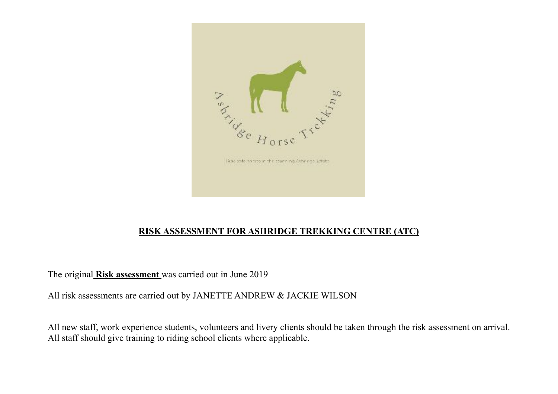

## **RISK ASSESSMENT FOR ASHRIDGE TREKKING CENTRE (ATC)**

The original **Risk assessment** was carried out in June 2019

All risk assessments are carried out by JANETTE ANDREW & JACKIE WILSON

All new staff, work experience students, volunteers and livery clients should be taken through the risk assessment on arrival. All staff should give training to riding school clients where applicable.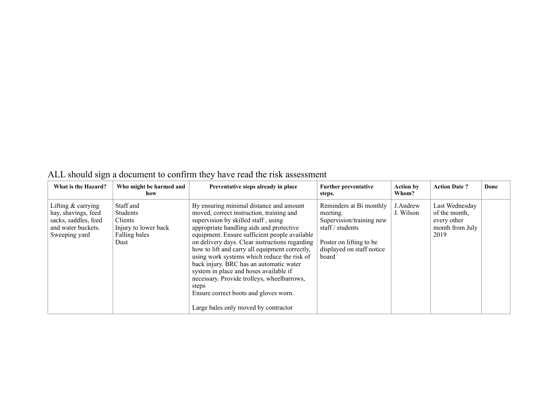| What is the Hazard?                                                                                        | Who might be harmed and<br>how                                                    | Preventative steps already in place                                                                                                                                                                                                                                                                                                                                                                                                                                                                                                                                                                     | <b>Further preventative</b><br>steps.                                                                                                                | <b>Action by</b><br>Whom? | <b>Action Date?</b>                                                       | Done |
|------------------------------------------------------------------------------------------------------------|-----------------------------------------------------------------------------------|---------------------------------------------------------------------------------------------------------------------------------------------------------------------------------------------------------------------------------------------------------------------------------------------------------------------------------------------------------------------------------------------------------------------------------------------------------------------------------------------------------------------------------------------------------------------------------------------------------|------------------------------------------------------------------------------------------------------------------------------------------------------|---------------------------|---------------------------------------------------------------------------|------|
| Lifting $&$ carrying<br>hay, shavings, feed<br>sacks, saddles, feed<br>and water buckets.<br>Sweeping yard | Staff and<br>Students<br>Clients<br>Injury to lower back<br>Falling bales<br>Dust | By ensuring minimal distance and amount<br>moved, correct instruction, training and<br>supervision by skilled staff, using<br>appropriate handling aids and protective<br>equipment. Ensure sufficient people available<br>on delivery days. Clear instructions regarding<br>how to lift and carry all equipment correctly,<br>using work systems which reduce the risk of<br>back injury. BRC has an automatic water<br>system in place and hoses available if<br>necessary. Provide trolleys, wheelbarrows,<br>steps<br>Ensure correct boots and gloves worn.<br>Large bales only moved by contractor | Reminders at Bi monthly<br>meeting.<br>Supervision/training new<br>staff / students<br>Poster on lifting to be<br>displayed on staff notice<br>board | J.Andrew<br>J. Wilson     | Last Wednesday<br>of the month,<br>every other<br>month from July<br>2019 |      |

## ALL should sign a document to confirm they have read the risk assessment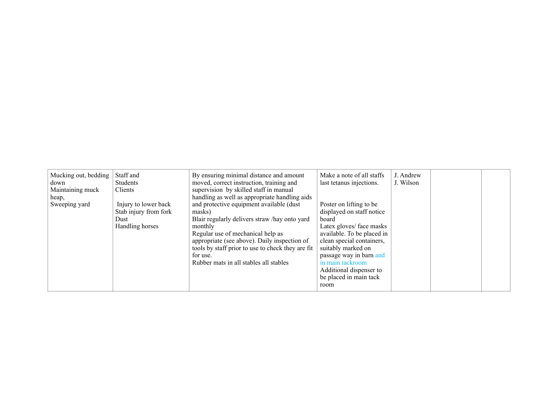| Mucking out, bedding | Staff and             | By ensuring minimal distance and amount           | Make a note of all staffs  | J. Andrew |  |
|----------------------|-----------------------|---------------------------------------------------|----------------------------|-----------|--|
| down                 | Students              | moved, correct instruction, training and          | last tetanus injections.   | J. Wilson |  |
| Maintaining muck     | Clients               | supervision by skilled staff in manual            |                            |           |  |
| heap,                |                       | handling as well as appropriate handling aids     |                            |           |  |
| Sweeping yard        | Injury to lower back  | and protective equipment available (dust          | Poster on lifting to be    |           |  |
|                      | Stab injury from fork | masks)                                            | displayed on staff notice  |           |  |
|                      | Dust                  | Blair regularly delivers straw /hay onto yard     | board                      |           |  |
|                      | Handling horses       | monthly                                           | Latex gloves/ face masks   |           |  |
|                      |                       | Regular use of mechanical help as                 | available. To be placed in |           |  |
|                      |                       | appropriate (see above). Daily inspection of      | clean special containers,  |           |  |
|                      |                       | tools by staff prior to use to check they are fit | suitably marked on         |           |  |
|                      |                       | for use.                                          | passage way in barn and    |           |  |
|                      |                       | Rubber mats in all stables all stables            | in main tackroom           |           |  |
|                      |                       |                                                   | Additional dispenser to    |           |  |
|                      |                       |                                                   | be placed in main tack     |           |  |
|                      |                       |                                                   | room                       |           |  |
|                      |                       |                                                   |                            |           |  |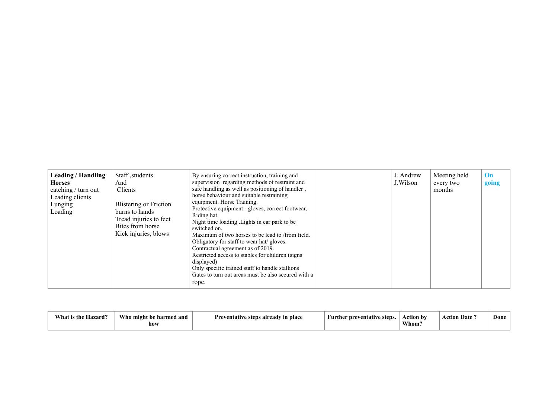| Leading / Handling<br><b>Horses</b><br>catching / turn out<br>Leading clients<br>Lunging<br>Loading | Staff, students<br>And<br>Clients<br><b>Blistering or Friction</b><br>burns to hands<br>Tread injuries to feet<br>Bites from horse<br>Kick injuries, blows | By ensuring correct instruction, training and<br>supervision regarding methods of restraint and<br>safe handling as well as positioning of handler,<br>horse behaviour and suitable restraining<br>equipment. Horse Training.<br>Protective equipment - gloves, correct footwear,<br>Riding hat.<br>Night time loading Lights in car park to be<br>switched on.<br>Maximum of two horses to be lead to /from field.<br>Obligatory for staff to wear hat/gloves.<br>Contractual agreement as of 2019.<br>Restricted access to stables for children (signs)<br>displayed)<br>Only specific trained staff to handle stallions<br>Gates to turn out areas must be also secured with a<br>rope. |  | J. Andrew<br>J. Wilson | Meeting held<br>every two<br>months | On<br>going |
|-----------------------------------------------------------------------------------------------------|------------------------------------------------------------------------------------------------------------------------------------------------------------|--------------------------------------------------------------------------------------------------------------------------------------------------------------------------------------------------------------------------------------------------------------------------------------------------------------------------------------------------------------------------------------------------------------------------------------------------------------------------------------------------------------------------------------------------------------------------------------------------------------------------------------------------------------------------------------------|--|------------------------|-------------------------------------|-------------|
|-----------------------------------------------------------------------------------------------------|------------------------------------------------------------------------------------------------------------------------------------------------------------|--------------------------------------------------------------------------------------------------------------------------------------------------------------------------------------------------------------------------------------------------------------------------------------------------------------------------------------------------------------------------------------------------------------------------------------------------------------------------------------------------------------------------------------------------------------------------------------------------------------------------------------------------------------------------------------------|--|------------------------|-------------------------------------|-------------|

| $\sim$<br><b>Who</b><br>$\mathbf{W}$<br>azara. | and<br>) might be harmed<br>how | adv<br><sup>7</sup> in place<br>Proventotiv<br>alrı<br>eten | stens<br>Furthe<br>entatıy<br>' nr | Action by<br>Whom. | $\blacksquare$<br>Date<br>атылғ | Done |
|------------------------------------------------|---------------------------------|-------------------------------------------------------------|------------------------------------|--------------------|---------------------------------|------|
|------------------------------------------------|---------------------------------|-------------------------------------------------------------|------------------------------------|--------------------|---------------------------------|------|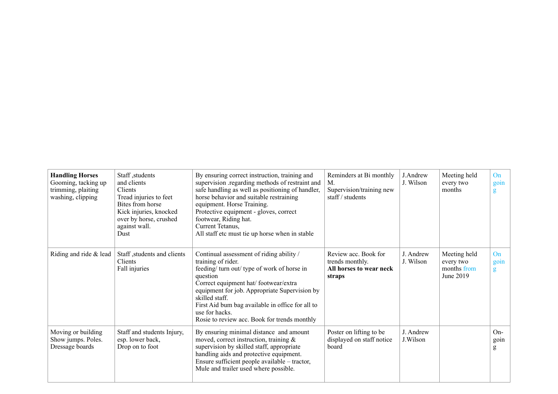| <b>Handling Horses</b><br>Gooming, tacking up<br>trimming, plaiting<br>washing, clipping | Staff, students<br>and clients<br>Clients<br>Tread injuries to feet<br>Bites from horse<br>Kick injuries, knocked<br>over by horse, crushed<br>against wall.<br>Dust | By ensuring correct instruction, training and<br>supervision regarding methods of restraint and<br>safe handling as well as positioning of handler,<br>horse behavior and suitable restraining<br>equipment. Horse Training.<br>Protective equipment - gloves, correct<br>footwear, Riding hat.<br>Current Tetanus,<br>All staff etc must tie up horse when in stable | Reminders at Bi monthly<br>M.<br>Supervision/training new<br>staff $/$ students | J.Andrew<br>J. Wilson  | Meeting held<br>every two<br>months                   | On<br>goin<br>g    |
|------------------------------------------------------------------------------------------|----------------------------------------------------------------------------------------------------------------------------------------------------------------------|-----------------------------------------------------------------------------------------------------------------------------------------------------------------------------------------------------------------------------------------------------------------------------------------------------------------------------------------------------------------------|---------------------------------------------------------------------------------|------------------------|-------------------------------------------------------|--------------------|
| Riding and ride & lead                                                                   | Staff, students and clients<br>Clients<br>Fall injuries                                                                                                              | Continual assessment of riding ability /<br>training of rider.<br>feeding/ turn out/ type of work of horse in<br>question<br>Correct equipment hat/footwear/extra<br>equipment for job. Appropriate Supervision by<br>skilled staff.<br>First Aid bum bag available in office for all to<br>use for hacks.<br>Rosie to review acc. Book for trends monthly            | Review acc. Book for<br>trends monthly.<br>All horses to wear neck<br>straps    | J. Andrew<br>J. Wilson | Meeting held<br>every two<br>months from<br>June 2019 | On<br>goin<br>g    |
| Moving or building<br>Show jumps. Poles.<br>Dressage boards                              | Staff and students Injury,<br>esp. lower back,<br>Drop on to foot                                                                                                    | By ensuring minimal distance and amount<br>moved, correct instruction, training $\&$<br>supervision by skilled staff, appropriate<br>handling aids and protective equipment.<br>Ensure sufficient people available – tractor,<br>Mule and trailer used where possible.                                                                                                | Poster on lifting to be<br>displayed on staff notice<br>board                   | J. Andrew<br>J.Wilson  |                                                       | $On-$<br>goin<br>g |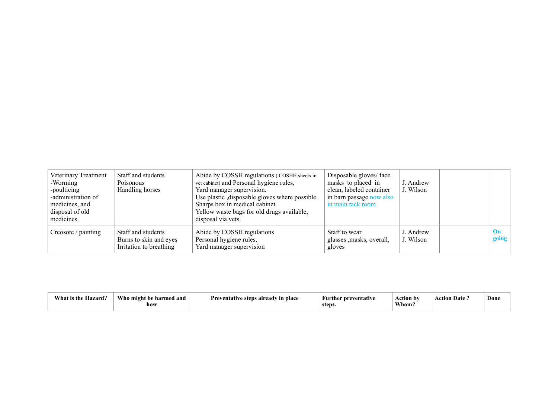| Veterinary Treatment<br>-Worming<br>-poulticing<br>-administration of<br>medicines, and<br>disposal of old<br>medicines. | Staff and students<br>Poisonous<br>Handling horses                      | Abide by COSSH regulations (COSHH sheets in<br>vet cabinet) and Personal hygiene rules,<br>Yard manager supervision.<br>Use plastic , disposable gloves where possible.<br>Sharps box in medical cabinet.<br>Yellow waste bags for old drugs available,<br>disposal via vets. | Disposable gloves/face<br>masks to placed in<br>clean, labeled container<br>in barn passage now also<br>in main tack room | J. Andrew<br>J. Wilson |                        |
|--------------------------------------------------------------------------------------------------------------------------|-------------------------------------------------------------------------|-------------------------------------------------------------------------------------------------------------------------------------------------------------------------------------------------------------------------------------------------------------------------------|---------------------------------------------------------------------------------------------------------------------------|------------------------|------------------------|
| Creosote / painting                                                                                                      | Staff and students<br>Burns to skin and eyes<br>Irritation to breathing | Abide by COSSH regulations<br>Personal hygiene rules,<br>Yard manager supervision                                                                                                                                                                                             | Staff to wear<br>glasses , masks, overall,<br>gloves                                                                      | J. Andrew<br>J. Wilson | $\mathbf{On}$<br>going |

| zard?<br>- Vhar | $W$ ho<br>- might<br>and<br>armed<br>how | Preventatīv<br>s aiready in place<br>stens | <b>Further preventative</b><br>steps. | .<br>Action by<br>Whom. | $\blacksquare$<br>Uate.<br>etion | Done |
|-----------------|------------------------------------------|--------------------------------------------|---------------------------------------|-------------------------|----------------------------------|------|
|-----------------|------------------------------------------|--------------------------------------------|---------------------------------------|-------------------------|----------------------------------|------|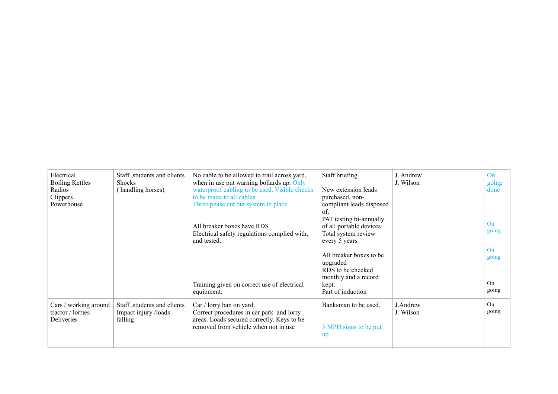| Electrical<br><b>Boiling Kettles</b><br>Radios<br>Clippers<br>Powerhouse | Staff, students and clients<br><b>Shocks</b><br>(handling horses) | No cable to be allowed to trail across yard,<br>when in use put warning bollards up. Only<br>waterproof cabling to be used. Visible checks<br>to be made to all cables.<br>Three phase cut out system in place<br>All breaker boxes have RDS<br>Electrical safety regulations complied with,<br>and tested. | Staff briefing<br>New extension leads<br>purchased, non-<br>compliant leads disposed<br>of.<br>PAT testing bi-annually<br>of all portable devices<br>Total system review<br>every 5 years | J. Andrew<br>J. Wilson | On<br>going<br>done<br>On<br>going |
|--------------------------------------------------------------------------|-------------------------------------------------------------------|-------------------------------------------------------------------------------------------------------------------------------------------------------------------------------------------------------------------------------------------------------------------------------------------------------------|-------------------------------------------------------------------------------------------------------------------------------------------------------------------------------------------|------------------------|------------------------------------|
|                                                                          |                                                                   | Training given on correct use of electrical<br>equipment.                                                                                                                                                                                                                                                   | All breaker boxes to be<br>upgraded<br>RDS to be checked<br>monthly and a record<br>kept.<br>Part of induction                                                                            |                        | On<br>going<br>On<br>going         |
| Cars / working around<br>tractor / lorries<br>Deliveries                 | Staff, students and clients<br>Impact injury /loads<br>falling    | Car / lorry ban on yard.<br>Correct procedures in car park and lorry<br>areas. Loads secured correctly. Keys to be<br>removed from vehicle when not in use                                                                                                                                                  | Banksman to be used.<br>5 MPH signs to be put<br><b>up</b>                                                                                                                                | J.Andrew<br>J. Wilson  | <b>On</b><br>going                 |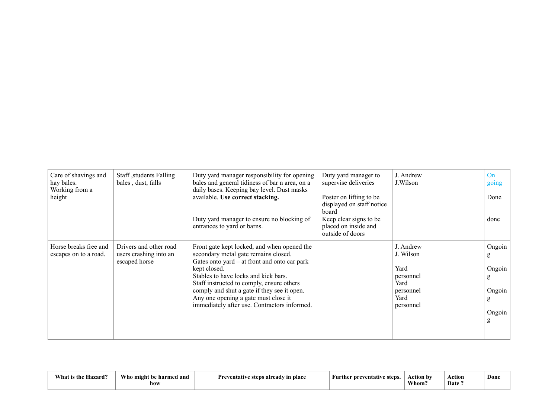| Care of shavings and<br>hay bales.<br>Working from a<br>height | Staff, students Falling<br>bales, dust, falls  | Duty yard manager responsibility for opening<br>bales and general tidiness of bar n area, on a<br>daily bases. Keeping bay level. Dust masks<br>available. Use correct stacking. | Duty yard manager to<br>supervise deliveries<br>Poster on lifting to be<br>displayed on staff notice                                                                                                                                                                                                                                                                                            | J. Andrew<br>J.Wilson                                                       | On<br>going<br>Done                                                                   |                                                          |
|----------------------------------------------------------------|------------------------------------------------|----------------------------------------------------------------------------------------------------------------------------------------------------------------------------------|-------------------------------------------------------------------------------------------------------------------------------------------------------------------------------------------------------------------------------------------------------------------------------------------------------------------------------------------------------------------------------------------------|-----------------------------------------------------------------------------|---------------------------------------------------------------------------------------|----------------------------------------------------------|
|                                                                |                                                |                                                                                                                                                                                  | Duty yard manager to ensure no blocking of<br>entrances to yard or barns.                                                                                                                                                                                                                                                                                                                       | board<br>Keep clear signs to be<br>placed on inside and<br>outside of doors |                                                                                       | done                                                     |
|                                                                | Horse breaks free and<br>escapes on to a road. | Drivers and other road<br>users crashing into an<br>escaped horse                                                                                                                | Front gate kept locked, and when opened the<br>secondary metal gate remains closed.<br>Gates onto $\text{yard} - \text{at front}$ and onto car park<br>kept closed.<br>Stables to have locks and kick bars.<br>Staff instructed to comply, ensure others<br>comply and shut a gate if they see it open.<br>Any one opening a gate must close it<br>immediately after use. Contractors informed. |                                                                             | J. Andrew<br>J. Wilson<br>Yard<br>personnel<br>Yard<br>personnel<br>Yard<br>personnel | Ongoin<br>g<br>Ongoin<br>g<br>Ongoin<br>g<br>Ongoin<br>g |

| <b>XX71</b><br>the .<br>70 L U<br>√hat | Who .<br>harmed and .<br>-mıgh<br>how | <sup>7</sup> in place<br><i>Proventof</i><br>steps<br>already | 600<br>---<br>π<br>eventatıv | ،ctıon<br>ı b<br>Whom. | Action<br>Date | Done |
|----------------------------------------|---------------------------------------|---------------------------------------------------------------|------------------------------|------------------------|----------------|------|
|----------------------------------------|---------------------------------------|---------------------------------------------------------------|------------------------------|------------------------|----------------|------|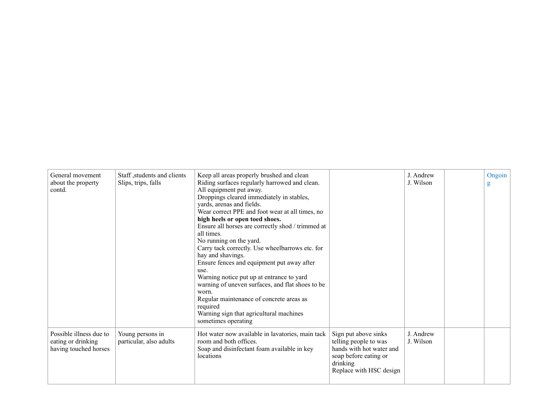| General movement<br>about the property<br>contd.                       | Staff, students and clients<br>Slips, trips, falls | Keep all areas properly brushed and clean<br>Riding surfaces regularly harrowed and clean.<br>All equipment put away.<br>Droppings cleared immediately in stables,<br>yards, arenas and fields.<br>Wear correct PPE and foot wear at all times, no<br>high heels or open toed shoes.<br>Ensure all horses are correctly shod / trimmed at<br>all times.<br>No running on the yard.<br>Carry tack correctly. Use wheelbarrows etc. for<br>hay and shavings.<br>Ensure fences and equipment put away after<br>use.<br>Warning notice put up at entrance to yard<br>warning of uneven surfaces, and flat shoes to be<br>worn.<br>Regular maintenance of concrete areas as<br>required<br>Warning sign that agricultural machines<br>sometimes operating |                                                                                                                                           | J. Andrew<br>J. Wilson | Ongoin<br>g |
|------------------------------------------------------------------------|----------------------------------------------------|------------------------------------------------------------------------------------------------------------------------------------------------------------------------------------------------------------------------------------------------------------------------------------------------------------------------------------------------------------------------------------------------------------------------------------------------------------------------------------------------------------------------------------------------------------------------------------------------------------------------------------------------------------------------------------------------------------------------------------------------------|-------------------------------------------------------------------------------------------------------------------------------------------|------------------------|-------------|
| Possible illness due to<br>eating or drinking<br>having touched horses | Young persons in<br>particular, also adults        | Hot water now available in lavatories, main tack<br>room and both offices.<br>Soap and disinfectant foam available in key<br>locations                                                                                                                                                                                                                                                                                                                                                                                                                                                                                                                                                                                                               | Sign put above sinks<br>telling people to was<br>hands with hot water and<br>soap before eating or<br>drinking<br>Replace with HSC design | J Andrew<br>J. Wilson  |             |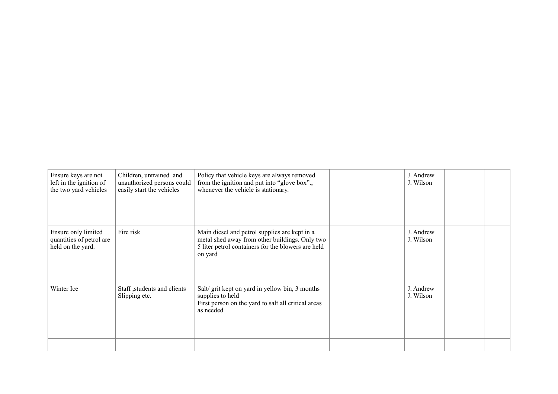| Ensure keys are not<br>left in the ignition of<br>the two yard vehicles | Children, untrained and<br>unauthorized persons could<br>easily start the vehicles | Policy that vehicle keys are always removed<br>from the ignition and put into "glove box".,<br>whenever the vehicle is stationary.                               | J. Andrew<br>J. Wilson |  |
|-------------------------------------------------------------------------|------------------------------------------------------------------------------------|------------------------------------------------------------------------------------------------------------------------------------------------------------------|------------------------|--|
| Ensure only limited<br>quantities of petrol are<br>held on the yard.    | Fire risk                                                                          | Main diesel and petrol supplies are kept in a<br>metal shed away from other buildings. Only two<br>5 liter petrol containers for the blowers are held<br>on yard | J. Andrew<br>J. Wilson |  |
| Winter Ice                                                              | Staff, students and clients<br>Slipping etc.                                       | Salt/ grit kept on yard in yellow bin, 3 months<br>supplies to held<br>First person on the yard to salt all critical areas<br>as needed                          | J. Andrew<br>J. Wilson |  |
|                                                                         |                                                                                    |                                                                                                                                                                  |                        |  |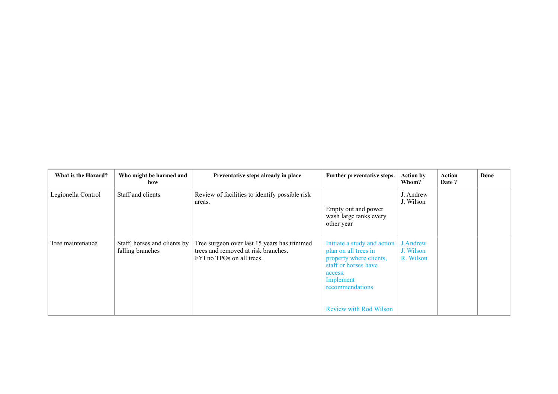| What is the Hazard? | Who might be harmed and<br>how                   | Preventative steps already in place                                                                             | Further preventative steps.                                                                                                                                                        | <b>Action by</b><br>Whom?          | Action<br>Date ? | Done |
|---------------------|--------------------------------------------------|-----------------------------------------------------------------------------------------------------------------|------------------------------------------------------------------------------------------------------------------------------------------------------------------------------------|------------------------------------|------------------|------|
| Legionella Control  | Staff and clients                                | Review of facilities to identify possible risk<br>areas.                                                        | Empty out and power<br>wash large tanks every<br>other year                                                                                                                        | J. Andrew<br>J. Wilson             |                  |      |
| Tree maintenance    | Staff, horses and clients by<br>falling branches | Tree surgeon over last 15 years has trimmed<br>trees and removed at risk branches.<br>FYI no TPOs on all trees. | Initiate a study and action<br>plan on all trees in<br>property where clients,<br>staff or horses have<br>access.<br>Implement<br>recommendations<br><b>Review with Rod Wilson</b> | J.Andrew<br>J. Wilson<br>R. Wilson |                  |      |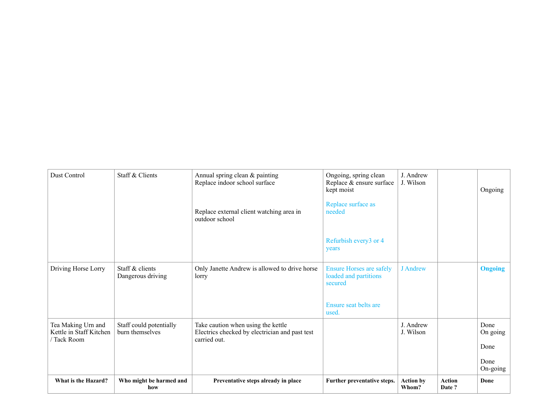| Dust Control                                                 | Staff & Clients                            | Annual spring clean & painting<br>Replace indoor school surface<br>Replace external client watching area in<br>outdoor school | Ongoing, spring clean<br>Replace & ensure surface<br>kept moist<br>Replace surface as<br>needed | J. Andrew<br>J. Wilson    |                        | Ongoing                          |
|--------------------------------------------------------------|--------------------------------------------|-------------------------------------------------------------------------------------------------------------------------------|-------------------------------------------------------------------------------------------------|---------------------------|------------------------|----------------------------------|
|                                                              |                                            |                                                                                                                               | Refurbish every3 or 4<br>years                                                                  |                           |                        |                                  |
| Driving Horse Lorry                                          | Staff & clients<br>Dangerous driving       | Only Janette Andrew is allowed to drive horse<br>lorry                                                                        | <b>Ensure Horses are safely</b><br>loaded and partitions<br>secured<br>Ensure seat belts are    | <b>J</b> Andrew           |                        | <b>Ongoing</b>                   |
| Tea Making Urn and<br>Kettle in Staff Kitchen<br>/ Tack Room | Staff could potentially<br>burn themselves | Take caution when using the kettle<br>Electrics checked by electrician and past test<br>carried out.                          | used.                                                                                           | J. Andrew<br>J. Wilson    |                        | Done<br>On going<br>Done<br>Done |
| What is the Hazard?                                          | Who might be harmed and<br>how             | Preventative steps already in place                                                                                           | Further preventative steps.                                                                     | <b>Action by</b><br>Whom? | <b>Action</b><br>Date? | On-going<br>Done                 |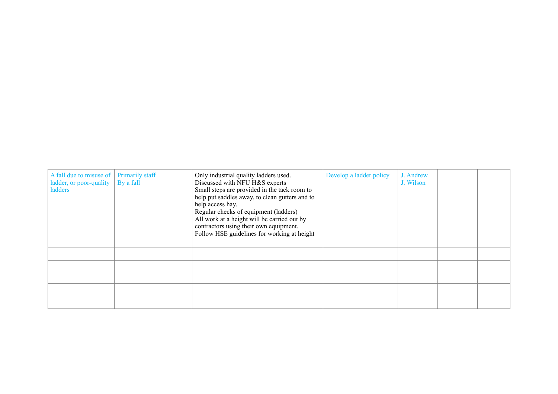| A fall due to misuse of   Primarily staff<br>ladder, or poor-quality $\parallel$<br>ladders | By a fall | Only industrial quality ladders used.<br>Discussed with NFU H&S experts<br>Small steps are provided in the tack room to<br>help put saddles away, to clean gutters and to<br>help access hay.<br>Regular checks of equipment (ladders)<br>All work at a height will be carried out by<br>contractors using their own equipment.<br>Follow HSE guidelines for working at height | Develop a ladder policy | J. Andrew<br>J. Wilson |  |
|---------------------------------------------------------------------------------------------|-----------|--------------------------------------------------------------------------------------------------------------------------------------------------------------------------------------------------------------------------------------------------------------------------------------------------------------------------------------------------------------------------------|-------------------------|------------------------|--|
|                                                                                             |           |                                                                                                                                                                                                                                                                                                                                                                                |                         |                        |  |
|                                                                                             |           |                                                                                                                                                                                                                                                                                                                                                                                |                         |                        |  |
|                                                                                             |           |                                                                                                                                                                                                                                                                                                                                                                                |                         |                        |  |
|                                                                                             |           |                                                                                                                                                                                                                                                                                                                                                                                |                         |                        |  |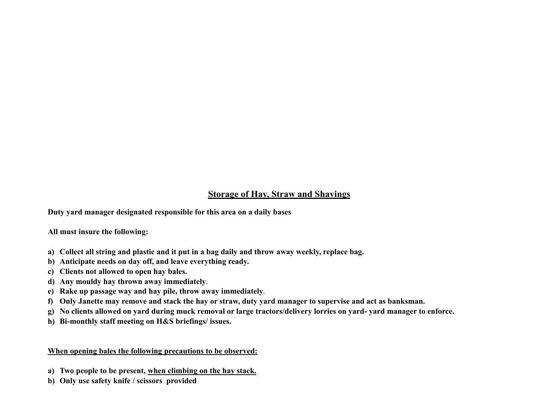## **Storage of Hay, Straw and Shavings**

**Duty yard manager designated responsible for this area on a daily bases** 

**All must insure the following:** 

- **a) Collect all string and plastic and it put in a bag daily and throw away weekly, replace bag.**
- **b) Anticipate needs on day off, and leave everything ready.**
- **c) Clients not allowed to open hay bales.**
- **d) Any mouldy hay thrown away immediately**.
- **e) Rake up passage way and hay pile, throw away immediately**.
- **f) Only Janette may remove and stack the hay or straw, duty yard manager to supervise and act as banksman.**
- **g) No clients allowed on yard during muck removal or large tractors/delivery lorries on yard- yard manager to enforce.**
- **h) Bi-monthly staff meeting on H&S briefings/ issues.**

#### **When opening bales the following precautions to be observed:**

- **a) Two people to be present, when climbing on the hay stack.**
- **b) Only use safety knife / scissors provided**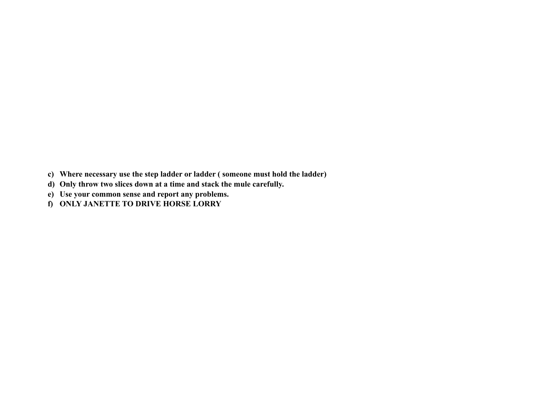- **c) Where necessary use the step ladder or ladder ( someone must hold the ladder)**
- **d) Only throw two slices down at a time and stack the mule carefully.**
- **e) Use your common sense and report any problems.**
- **f) ONLY JANETTE TO DRIVE HORSE LORRY**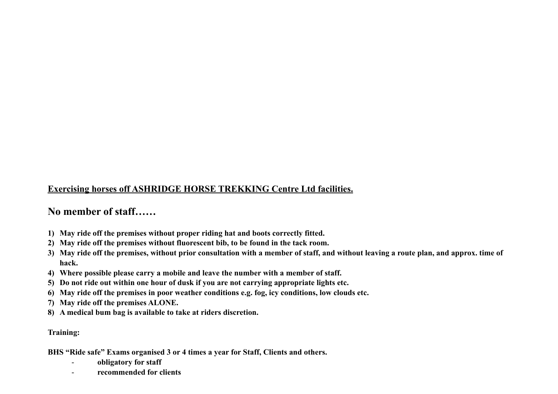## **Exercising horses off ASHRIDGE HORSE TREKKING Centre Ltd facilities.**

## **No member of staff……**

- **1) May ride off the premises without proper riding hat and boots correctly fitted.**
- **2) May ride off the premises without fluorescent bib, to be found in the tack room.**
- **3) May ride off the premises, without prior consultation with a member of staff, and without leaving a route plan, and approx. time of hack.**
- **4) Where possible please carry a mobile and leave the number with a member of staff.**
- **5) Do not ride out within one hour of dusk if you are not carrying appropriate lights etc.**
- **6) May ride off the premises in poor weather conditions e.g. fog, icy conditions, low clouds etc.**
- **7) May ride off the premises ALONE.**
- **8) A medical bum bag is available to take at riders discretion.**

**Training:** 

**BHS "Ride safe" Exams organised 3 or 4 times a year for Staff, Clients and others.** 

- **obligatory for staff**
- **recommended for clients**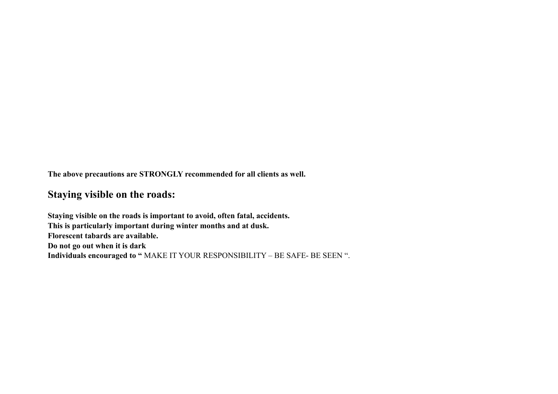**The above precautions are STRONGLY recommended for all clients as well.** 

## **Staying visible on the roads:**

**Staying visible on the roads is important to avoid, often fatal, accidents. This is particularly important during winter months and at dusk. Florescent tabards are available. Do not go out when it is dark Individuals encouraged to "** MAKE IT YOUR RESPONSIBILITY – BE SAFE- BE SEEN ".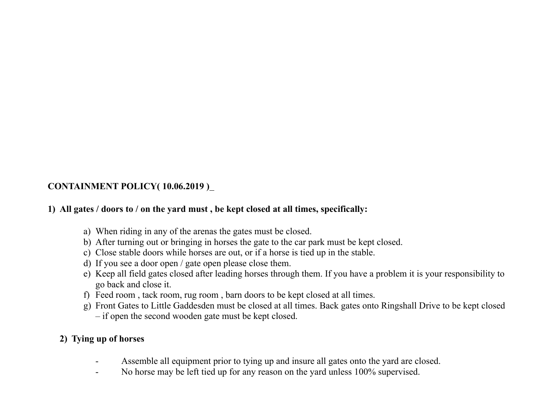## **CONTAINMENT POLICY( 10.06.2019 )**

#### **1) All gates / doors to / on the yard must , be kept closed at all times, specifically:**

- a) When riding in any of the arenas the gates must be closed.
- b) After turning out or bringing in horses the gate to the car park must be kept closed.
- c) Close stable doors while horses are out, or if a horse is tied up in the stable.
- d) If you see a door open / gate open please close them.
- e) Keep all field gates closed after leading horses through them. If you have a problem it is your responsibility to go back and close it.
- f) Feed room , tack room, rug room , barn doors to be kept closed at all times.
- g) Front Gates to Little Gaddesden must be closed at all times. Back gates onto Ringshall Drive to be kept closed – if open the second wooden gate must be kept closed.

## **2) Tying up of horses**

- Assemble all equipment prior to tying up and insure all gates onto the yard are closed.
- No horse may be left tied up for any reason on the yard unless 100% supervised.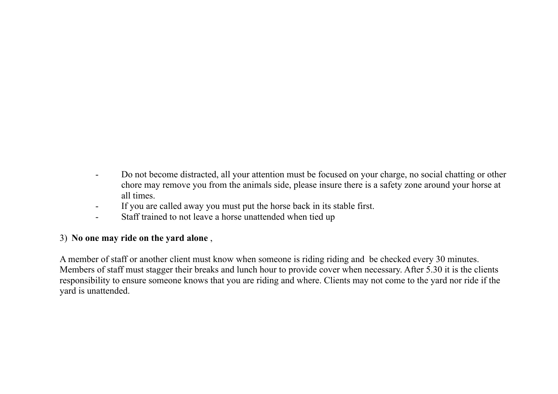- Do not become distracted, all your attention must be focused on your charge, no social chatting or other chore may remove you from the animals side, please insure there is a safety zone around your horse at all times.
- If you are called away you must put the horse back in its stable first.
- Staff trained to not leave a horse unattended when tied up

## 3) **No one may ride on the yard alone** ,

A member of staff or another client must know when someone is riding riding and be checked every 30 minutes. Members of staff must stagger their breaks and lunch hour to provide cover when necessary. After 5.30 it is the clients responsibility to ensure someone knows that you are riding and where. Clients may not come to the yard nor ride if the yard is unattended.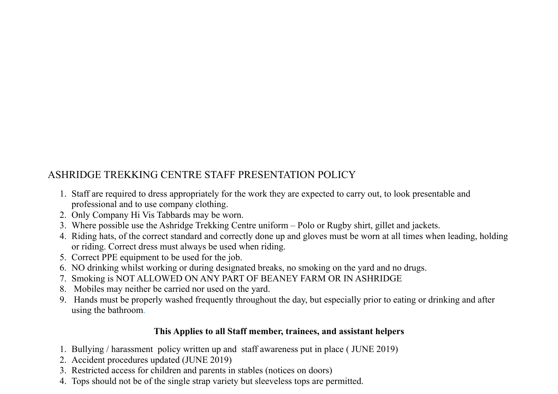# ASHRIDGE TREKKING CENTRE STAFF PRESENTATION POLICY

- 1. Staff are required to dress appropriately for the work they are expected to carry out, to look presentable and professional and to use company clothing.
- 2. Only Company Hi Vis Tabbards may be worn.
- 3. Where possible use the Ashridge Trekking Centre uniform Polo or Rugby shirt, gillet and jackets.
- 4. Riding hats, of the correct standard and correctly done up and gloves must be worn at all times when leading, holding or riding. Correct dress must always be used when riding.
- 5. Correct PPE equipment to be used for the job.
- 6. NO drinking whilst working or during designated breaks, no smoking on the yard and no drugs.
- 7. Smoking is NOT ALLOWED ON ANY PART OF BEANEY FARM OR IN ASHRIDGE
- 8. Mobiles may neither be carried nor used on the yard.
- 9. Hands must be properly washed frequently throughout the day, but especially prior to eating or drinking and after using the bathroom.

## **This Applies to all Staff member, trainees, and assistant helpers**

- 1. Bullying / harassment policy written up and staff awareness put in place ( JUNE 2019)
- 2. Accident procedures updated (JUNE 2019)
- 3. Restricted access for children and parents in stables (notices on doors)
- 4. Tops should not be of the single strap variety but sleeveless tops are permitted.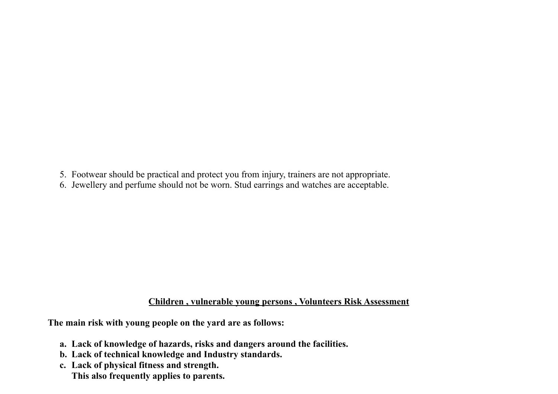- 5. Footwear should be practical and protect you from injury, trainers are not appropriate.
- 6. Jewellery and perfume should not be worn. Stud earrings and watches are acceptable.

#### **Children , vulnerable young persons , Volunteers Risk Assessment**

**The main risk with young people on the yard are as follows:** 

- **a. Lack of knowledge of hazards, risks and dangers around the facilities.**
- **b. Lack of technical knowledge and Industry standards.**
- **c. Lack of physical fitness and strength.** 
	- **This also frequently applies to parents.**